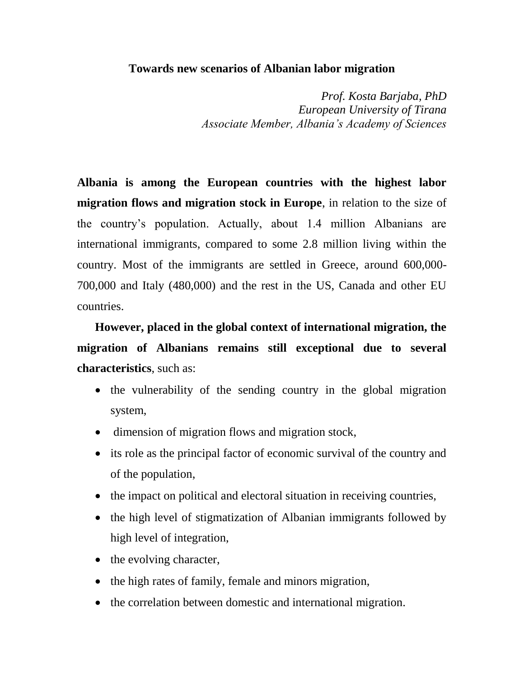## **Towards new scenarios of Albanian labor migration**

*Prof. Kosta Barjaba, PhD European University of Tirana Associate Member, Albania's Academy of Sciences*

**Albania is among the European countries with the highest labor migration flows and migration stock in Europe**, in relation to the size of the country's population. Actually, about 1.4 million Albanians are international immigrants, compared to some 2.8 million living within the country. Most of the immigrants are settled in Greece, around 600,000- 700,000 and Italy (480,000) and the rest in the US, Canada and other EU countries.

**However, placed in the global context of international migration, the migration of Albanians remains still exceptional due to several characteristics**, such as:

- the vulnerability of the sending country in the global migration system,
- dimension of migration flows and migration stock,
- its role as the principal factor of economic survival of the country and of the population,
- the impact on political and electoral situation in receiving countries,
- the high level of stigmatization of Albanian immigrants followed by high level of integration,
- $\bullet$  the evolving character,
- the high rates of family, female and minors migration,
- the correlation between domestic and international migration.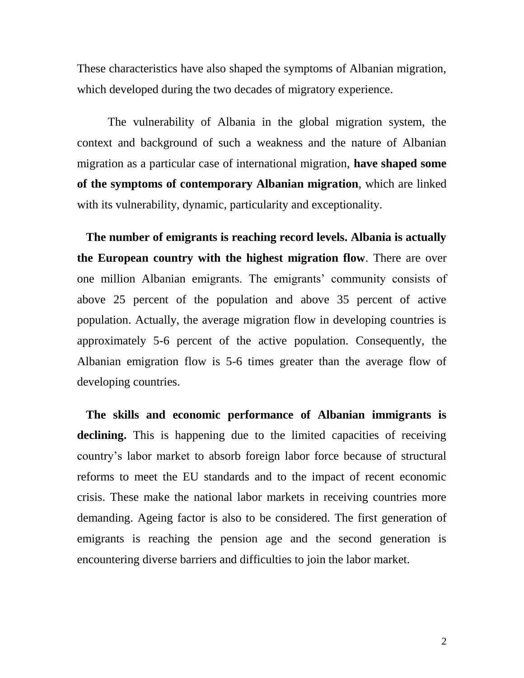These characteristics have also shaped the symptoms of Albanian migration, which developed during the two decades of migratory experience.

The vulnerability of Albania in the global migration system, the context and background of such a weakness and the nature of Albanian migration as a particular case of international migration, **have shaped some of the symptoms of contemporary Albanian migration**, which are linked with its vulnerability, dynamic, particularity and exceptionality.

 **The number of emigrants is reaching record levels. Albania is actually the European country with the highest migration flow**. There are over one million Albanian emigrants. The emigrants' community consists of above 25 percent of the population and above 35 percent of active population. Actually, the average migration flow in developing countries is approximately 5-6 percent of the active population. Consequently, the Albanian emigration flow is 5-6 times greater than the average flow of developing countries.

 **The skills and economic performance of Albanian immigrants is declining.** This is happening due to the limited capacities of receiving country's labor market to absorb foreign labor force because of structural reforms to meet the EU standards and to the impact of recent economic crisis. These make the national labor markets in receiving countries more demanding. Ageing factor is also to be considered. The first generation of emigrants is reaching the pension age and the second generation is encountering diverse barriers and difficulties to join the labor market.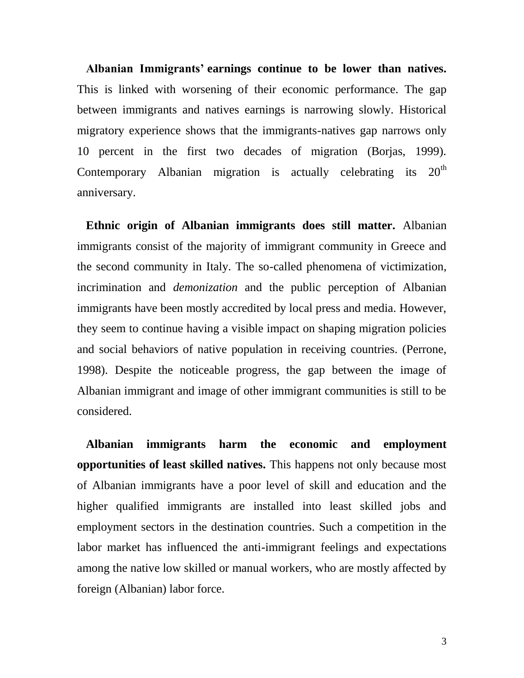**Albanian Immigrants' earnings continue to be lower than natives.**  This is linked with worsening of their economic performance. The gap between immigrants and natives earnings is narrowing slowly. Historical migratory experience shows that the immigrants-natives gap narrows only 10 percent in the first two decades of migration (Borjas, 1999). Contemporary Albanian migration is actually celebrating its 20<sup>th</sup> anniversary.

 **Ethnic origin of Albanian immigrants does still matter.** Albanian immigrants consist of the majority of immigrant community in Greece and the second community in Italy. The so-called phenomena of victimization, incrimination and *demonization* and the public perception of Albanian immigrants have been mostly accredited by local press and media. However, they seem to continue having a visible impact on shaping migration policies and social behaviors of native population in receiving countries. (Perrone, 1998). Despite the noticeable progress, the gap between the image of Albanian immigrant and image of other immigrant communities is still to be considered.

 **Albanian immigrants harm the economic and employment opportunities of least skilled natives.** This happens not only because most of Albanian immigrants have a poor level of skill and education and the higher qualified immigrants are installed into least skilled jobs and employment sectors in the destination countries. Such a competition in the labor market has influenced the anti-immigrant feelings and expectations among the native low skilled or manual workers, who are mostly affected by foreign (Albanian) labor force.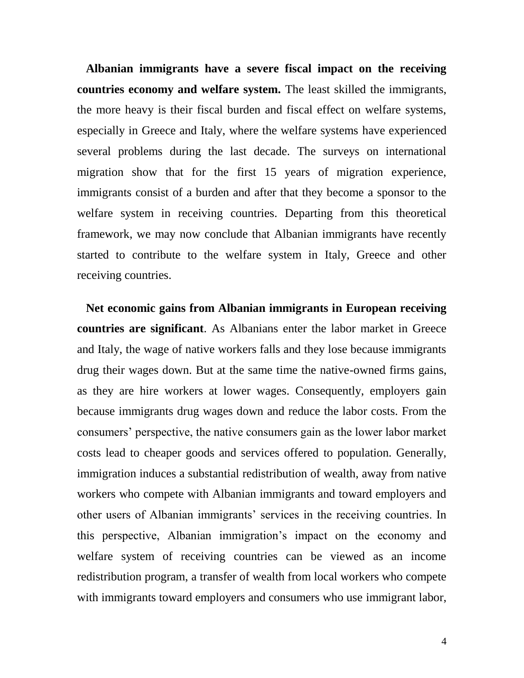**Albanian immigrants have a severe fiscal impact on the receiving countries economy and welfare system.** The least skilled the immigrants, the more heavy is their fiscal burden and fiscal effect on welfare systems, especially in Greece and Italy, where the welfare systems have experienced several problems during the last decade. The surveys on international migration show that for the first 15 years of migration experience, immigrants consist of a burden and after that they become a sponsor to the welfare system in receiving countries. Departing from this theoretical framework, we may now conclude that Albanian immigrants have recently started to contribute to the welfare system in Italy, Greece and other receiving countries.

 **Net economic gains from Albanian immigrants in European receiving countries are significant**. As Albanians enter the labor market in Greece and Italy, the wage of native workers falls and they lose because immigrants drug their wages down. But at the same time the native-owned firms gains, as they are hire workers at lower wages. Consequently, employers gain because immigrants drug wages down and reduce the labor costs. From the consumers' perspective, the native consumers gain as the lower labor market costs lead to cheaper goods and services offered to population. Generally, immigration induces a substantial redistribution of wealth, away from native workers who compete with Albanian immigrants and toward employers and other users of Albanian immigrants' services in the receiving countries. In this perspective, Albanian immigration's impact on the economy and welfare system of receiving countries can be viewed as an income redistribution program, a transfer of wealth from local workers who compete with immigrants toward employers and consumers who use immigrant labor,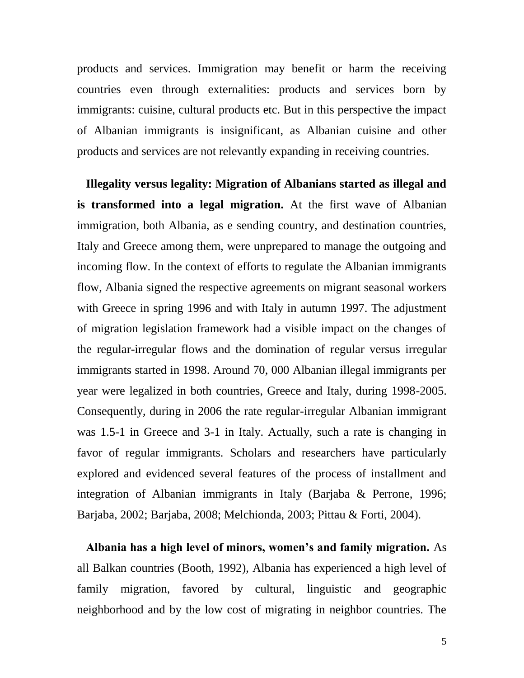products and services. Immigration may benefit or harm the receiving countries even through externalities: products and services born by immigrants: cuisine, cultural products etc. But in this perspective the impact of Albanian immigrants is insignificant, as Albanian cuisine and other products and services are not relevantly expanding in receiving countries.

 **Illegality versus legality: Migration of Albanians started as illegal and is transformed into a legal migration.** At the first wave of Albanian immigration, both Albania, as e sending country, and destination countries, Italy and Greece among them, were unprepared to manage the outgoing and incoming flow. In the context of efforts to regulate the Albanian immigrants flow, Albania signed the respective agreements on migrant seasonal workers with Greece in spring 1996 and with Italy in autumn 1997. The adjustment of migration legislation framework had a visible impact on the changes of the regular-irregular flows and the domination of regular versus irregular immigrants started in 1998. Around 70, 000 Albanian illegal immigrants per year were legalized in both countries, Greece and Italy, during 1998-2005. Consequently, during in 2006 the rate regular-irregular Albanian immigrant was 1.5-1 in Greece and 3-1 in Italy. Actually, such a rate is changing in favor of regular immigrants. Scholars and researchers have particularly explored and evidenced several features of the process of installment and integration of Albanian immigrants in Italy (Barjaba & Perrone, 1996; Barjaba, 2002; Barjaba, 2008; Melchionda, 2003; Pittau & Forti, 2004).

 **Albania has a high level of minors, women's and family migration.** As all Balkan countries (Booth, 1992), Albania has experienced a high level of family migration, favored by cultural, linguistic and geographic neighborhood and by the low cost of migrating in neighbor countries. The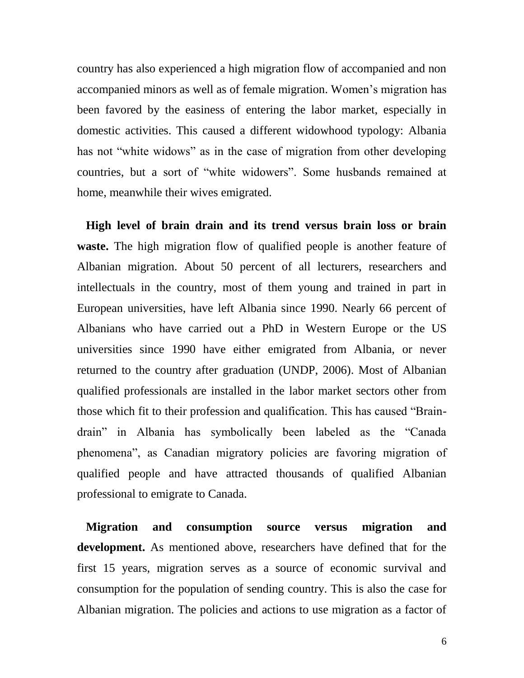country has also experienced a high migration flow of accompanied and non accompanied minors as well as of female migration. Women's migration has been favored by the easiness of entering the labor market, especially in domestic activities. This caused a different widowhood typology: Albania has not "white widows" as in the case of migration from other developing countries, but a sort of "white widowers". Some husbands remained at home, meanwhile their wives emigrated.

 **High level of brain drain and its trend versus brain loss or brain waste.** The high migration flow of qualified people is another feature of Albanian migration. About 50 percent of all lecturers, researchers and intellectuals in the country, most of them young and trained in part in European universities, have left Albania since 1990. Nearly 66 percent of Albanians who have carried out a PhD in Western Europe or the US universities since 1990 have either emigrated from Albania, or never returned to the country after graduation (UNDP, 2006). Most of Albanian qualified professionals are installed in the labor market sectors other from those which fit to their profession and qualification. This has caused "Braindrain" in Albania has symbolically been labeled as the "Canada phenomena", as Canadian migratory policies are favoring migration of qualified people and have attracted thousands of qualified Albanian professional to emigrate to Canada.

 **Migration and consumption source versus migration and development.** As mentioned above, researchers have defined that for the first 15 years, migration serves as a source of economic survival and consumption for the population of sending country. This is also the case for Albanian migration. The policies and actions to use migration as a factor of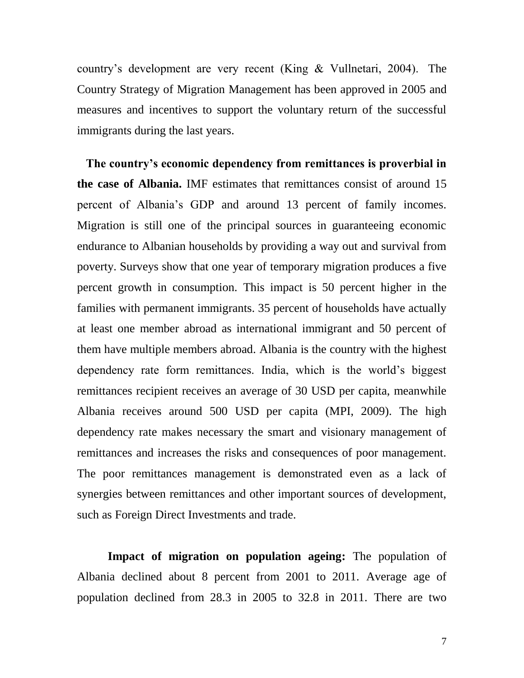country's development are very recent (King & Vullnetari, 2004). The Country Strategy of Migration Management has been approved in 2005 and measures and incentives to support the voluntary return of the successful immigrants during the last years.

 **The country's economic dependency from remittances is proverbial in the case of Albania.** IMF estimates that remittances consist of around 15 percent of Albania's GDP and around 13 percent of family incomes. Migration is still one of the principal sources in guaranteeing economic endurance to Albanian households by providing a way out and survival from poverty. Surveys show that one year of temporary migration produces a five percent growth in consumption. This impact is 50 percent higher in the families with permanent immigrants. 35 percent of households have actually at least one member abroad as international immigrant and 50 percent of them have multiple members abroad. Albania is the country with the highest dependency rate form remittances. India, which is the world's biggest remittances recipient receives an average of 30 USD per capita, meanwhile Albania receives around 500 USD per capita (MPI, 2009). The high dependency rate makes necessary the smart and visionary management of remittances and increases the risks and consequences of poor management. The poor remittances management is demonstrated even as a lack of synergies between remittances and other important sources of development, such as Foreign Direct Investments and trade.

**Impact of migration on population ageing:** The population of Albania declined about 8 percent from 2001 to 2011. Average age of population declined from 28.3 in 2005 to 32.8 in 2011. There are two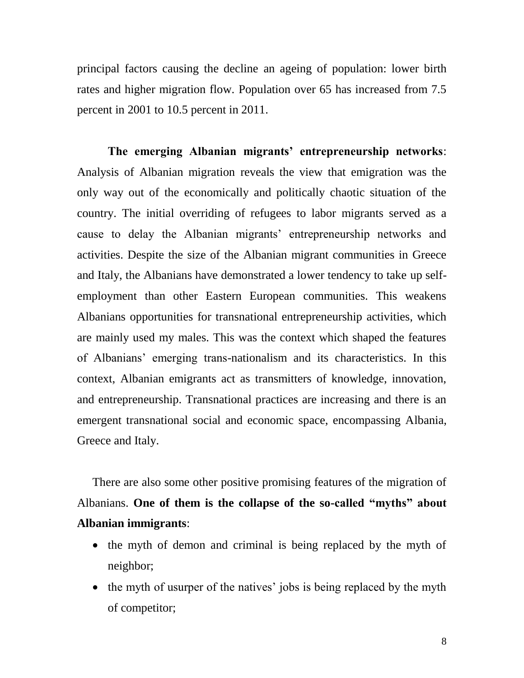principal factors causing the decline an ageing of population: lower birth rates and higher migration flow. Population over 65 has increased from 7.5 percent in 2001 to 10.5 percent in 2011.

**The emerging Albanian migrants' entrepreneurship networks**: Analysis of Albanian migration reveals the view that emigration was the only way out of the economically and politically chaotic situation of the country. The initial overriding of refugees to labor migrants served as a cause to delay the Albanian migrants' entrepreneurship networks and activities. Despite the size of the Albanian migrant communities in Greece and Italy, the Albanians have demonstrated a lower tendency to take up selfemployment than other Eastern European communities. This weakens Albanians opportunities for transnational entrepreneurship activities, which are mainly used my males. This was the context which shaped the features of Albanians' emerging trans-nationalism and its characteristics. In this context, Albanian emigrants act as transmitters of knowledge, innovation, and entrepreneurship. Transnational practices are increasing and there is an emergent transnational social and economic space, encompassing Albania, Greece and Italy.

There are also some other positive promising features of the migration of Albanians. **One of them is the collapse of the so-called "myths" about Albanian immigrants**:

- the myth of demon and criminal is being replaced by the myth of neighbor;
- the myth of usurper of the natives' jobs is being replaced by the myth of competitor;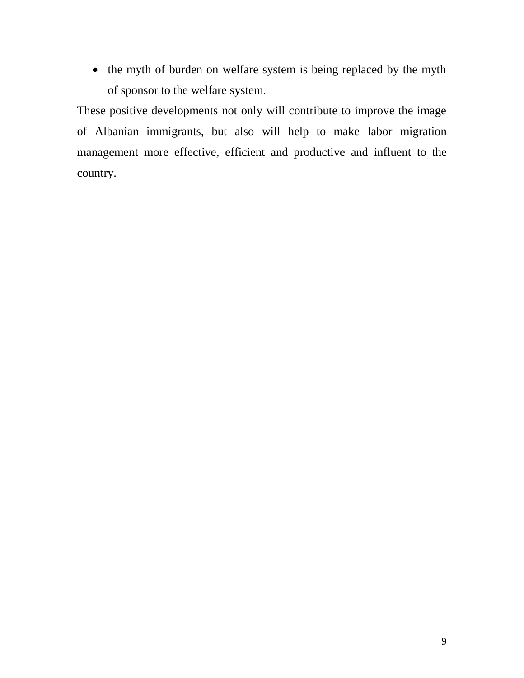• the myth of burden on welfare system is being replaced by the myth of sponsor to the welfare system.

These positive developments not only will contribute to improve the image of Albanian immigrants, but also will help to make labor migration management more effective, efficient and productive and influent to the country.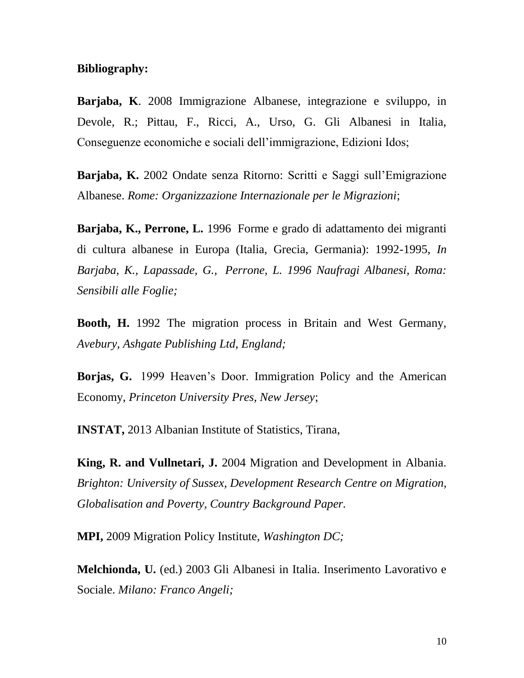## **Bibliography:**

**Barjaba, K**. 2008 Immigrazione Albanese, integrazione e sviluppo, in Devole, R.; Pittau, F., Ricci, A., Urso, G. Gli Albanesi in Italia, Conseguenze economiche e sociali dell'immigrazione, Edizioni Idos;

**Barjaba, K.** 2002 Ondate senza Ritorno: Scritti e Saggi sull'Emigrazione Albanese. *Rome: Organizzazione Internazionale per le Migrazioni*;

**Barjaba, K., Perrone, L.** 1996 Forme e grado di adattamento dei migranti di cultura albanese in Europa (Italia, Grecia, Germania): 1992-1995, *In Barjaba, K., Lapassade, G., Perrone, L. 1996 Naufragi Albanesi, Roma: Sensibili alle Foglie;* 

**Booth, H.** 1992 The migration process in Britain and West Germany, *Avebury, Ashgate Publishing Ltd, England;*

**Borjas, G.** 1999 Heaven's Door. Immigration Policy and the American Economy, *Princeton University Pres, New Jersey*;

**INSTAT,** 2013 Albanian Institute of Statistics, Tirana,

**King, R. and Vullnetari, J.** 2004 Migration and Development in Albania. *Brighton: University of Sussex, Development Research Centre on Migration, Globalisation and Poverty, Country Background Paper.*

**MPI,** 2009 Migration Policy Institute, *Washington DC;*

**Melchionda, U.** (ed.) 2003 Gli Albanesi in Italia. Inserimento Lavorativo e Sociale. *Milano: Franco Angeli;*